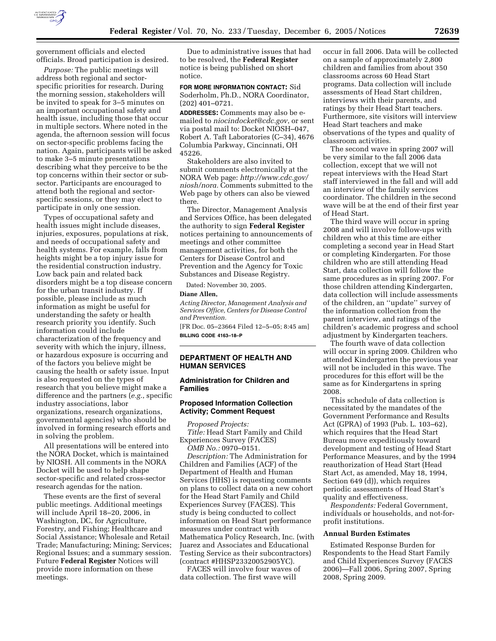

government officials and elected officials. Broad participation is desired.

*Purpose:* The public meetings will address both regional and sectorspecific priorities for research. During the morning session, stakeholders will be invited to speak for 3–5 minutes on an important occupational safety and health issue, including those that occur in multiple sectors. Where noted in the agenda, the afternoon session will focus on sector-specific problems facing the nation. Again, participants will be asked to make 3–5 minute presentations describing what they perceive to be the top concerns within their sector or subsector. Participants are encouraged to attend both the regional and sectorspecific sessions, or they may elect to participate in only one session.

Types of occupational safety and health issues might include diseases, injuries, exposures, populations at risk, and needs of occupational safety and health systems. For example, falls from heights might be a top injury issue for the residential construction industry. Low back pain and related back disorders might be a top disease concern for the urban transit industry. If possible, please include as much information as might be useful for understanding the safety or health research priority you identify. Such information could include characterization of the frequency and severity with which the injury, illness, or hazardous exposure is occurring and of the factors you believe might be causing the health or safety issue. Input is also requested on the types of research that you believe might make a difference and the partners (*e.g.*, specific industry associations, labor organizations, research organizations, governmental agencies) who should be involved in forming research efforts and in solving the problem.

All presentations will be entered into the NORA Docket, which is maintained by NIOSH. All comments in the NORA Docket will be used to help shape sector-specific and related cross-sector research agendas for the nation.

These events are the first of several public meetings. Additional meetings will include April 18–20, 2006, in Washington, DC, for Agriculture, Forestry, and Fishing; Healthcare and Social Assistance; Wholesale and Retail Trade; Manufacturing; Mining; Services; Regional Issues; and a summary session. Future **Federal Register** Notices will provide more information on these meetings.

Due to administrative issues that had to be resolved, the **Federal Register**  notice is being published on short notice.

**FOR MORE INFORMATION CONTACT:** Sid Soderholm, Ph.D., NORA Coordinator, (202) 401–0721.

**ADDRESSES:** Comments may also be emailed to *niocindocket@cdc.gov*, or sent via postal mail to: Docket NIOSH–047, Robert A. Taft Laboratories (C–34), 4676 Columbia Parkway, Cincinnati, OH 45226.

Stakeholders are also invited to submit comments electronically at the NORA Web page: *http://www.cdc.gov/ niosh/nora.* Comments submitted to the Web page by others can also be viewed there.

The Director, Management Analysis and Services Office, has been delegated the authority to sign **Federal Register**  notices pertaining to announcements of meetings and other committee management activities, for both the Centers for Disease Control and Prevention and the Agency for Toxic Substances and Disease Registry.

Dated: November 30, 2005.

#### **Diane Allen,**

*Acting Director, Management Analysis and Services Office, Centers for Disease Control and Prevention.* 

[FR Doc. 05–23664 Filed 12–5–05; 8:45 am] **BILLING CODE 4163–18–P** 

### **DEPARTMENT OF HEALTH AND HUMAN SERVICES**

### **Administration for Children and Families**

### **Proposed Information Collection Activity; Comment Request**

*Proposed Projects: Title:* Head Start Family and Child Experiences Survey (FACES) *OMB No.:* 0970–0151.

*Description:* The Administration for Children and Families (ACF) of the Department of Health and Human Services (HHS) is requesting comments on plans to collect data on a new cohort for the Head Start Family and Child Experiences Survey (FACES). This study is being conducted to collect information on Head Start performance measures under contract with Mathematica Policy Research, Inc. (with Juarez and Associates and Educational Testing Service as their subcontractors) (contract #HHSP23320052905YC).

FACES will involve four waves of data collection. The first wave will

occur in fall 2006. Data will be collected on a sample of approximately 2,800 children and families from about 350 classrooms across 60 Head Start programs. Data collection will include assessments of Head Start children, interviews with their parents, and ratings by their Head Start teachers. Furthermore, site visitors will interview Head Start teachers and make observations of the types and quality of classroom activities.

The second wave in spring 2007 will be very similar to the fall 2006 data collection, except that we will not repeat interviews with the Head Start staff interviewed in the fall and will add an interview of the family services coordinator. The children in the second wave will be at the end of their first year of Head Start.

The third wave will occur in spring 2008 and will involve follow-ups with children who at this time are either completing a second year in Head Start or completing Kindergarten. For those children who are still attending Head Start, data collection will follow the same procedures as in spring 2007. For those children attending Kindergarten, data collection will include assessments of the children, an ''update'' survey of the information collection from the parent interview, and ratings of the children's academic progress and school adjustment by Kindergarten teachers.

The fourth wave of data collection will occur in spring 2009. Children who attended Kindergarten the previous year will not be included in this wave. The procedures for this effort will be the same as for Kindergartens in spring 2008.

This schedule of data collection is necessitated by the mandates of the Government Performance and Results Act (GPRA) of 1993 (Pub. L. 103–62), which requires that the Head Start Bureau move expeditiously toward development and testing of Head Start Performance Measures, and by the 1994 reauthorization of Head Start (Head Start Act, as amended, May 18, 1994, Section 649 (d)), which requires periodic assessments of Head Start's quality and effectiveness.

*Respondents:* Federal Government, individuals or households, and not-forprofit institutions.

### **Annual Burden Estimates**

Estimated Response Burden for Respondents to the Head Start Family and Child Experiences Survey (FACES 2006)—Fall 2006, Spring 2007, Spring 2008, Spring 2009.